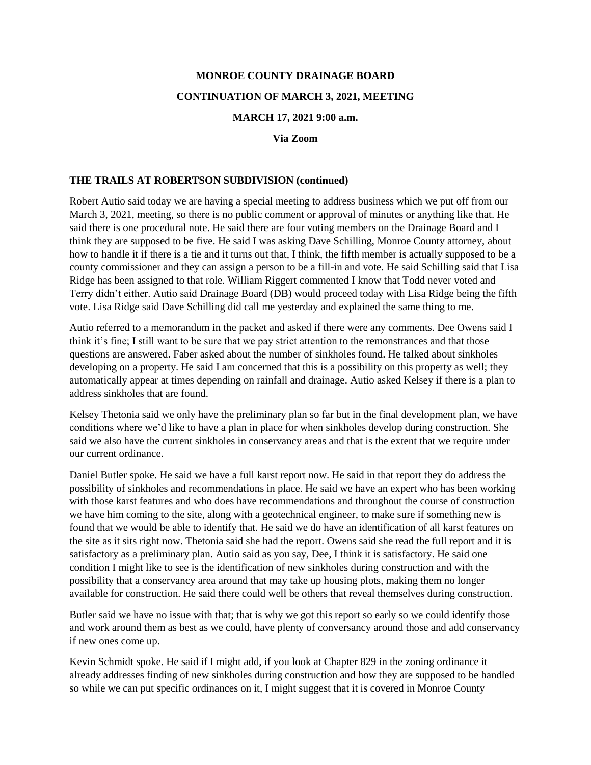# **MONROE COUNTY DRAINAGE BOARD CONTINUATION OF MARCH 3, 2021, MEETING**

#### **MARCH 17, 2021 9:00 a.m.**

**Via Zoom**

#### **THE TRAILS AT ROBERTSON SUBDIVISION (continued)**

Robert Autio said today we are having a special meeting to address business which we put off from our March 3, 2021, meeting, so there is no public comment or approval of minutes or anything like that. He said there is one procedural note. He said there are four voting members on the Drainage Board and I think they are supposed to be five. He said I was asking Dave Schilling, Monroe County attorney, about how to handle it if there is a tie and it turns out that, I think, the fifth member is actually supposed to be a county commissioner and they can assign a person to be a fill-in and vote. He said Schilling said that Lisa Ridge has been assigned to that role. William Riggert commented I know that Todd never voted and Terry didn't either. Autio said Drainage Board (DB) would proceed today with Lisa Ridge being the fifth vote. Lisa Ridge said Dave Schilling did call me yesterday and explained the same thing to me.

Autio referred to a memorandum in the packet and asked if there were any comments. Dee Owens said I think it's fine; I still want to be sure that we pay strict attention to the remonstrances and that those questions are answered. Faber asked about the number of sinkholes found. He talked about sinkholes developing on a property. He said I am concerned that this is a possibility on this property as well; they automatically appear at times depending on rainfall and drainage. Autio asked Kelsey if there is a plan to address sinkholes that are found.

Kelsey Thetonia said we only have the preliminary plan so far but in the final development plan, we have conditions where we'd like to have a plan in place for when sinkholes develop during construction. She said we also have the current sinkholes in conservancy areas and that is the extent that we require under our current ordinance.

Daniel Butler spoke. He said we have a full karst report now. He said in that report they do address the possibility of sinkholes and recommendations in place. He said we have an expert who has been working with those karst features and who does have recommendations and throughout the course of construction we have him coming to the site, along with a geotechnical engineer, to make sure if something new is found that we would be able to identify that. He said we do have an identification of all karst features on the site as it sits right now. Thetonia said she had the report. Owens said she read the full report and it is satisfactory as a preliminary plan. Autio said as you say, Dee, I think it is satisfactory. He said one condition I might like to see is the identification of new sinkholes during construction and with the possibility that a conservancy area around that may take up housing plots, making them no longer available for construction. He said there could well be others that reveal themselves during construction.

Butler said we have no issue with that; that is why we got this report so early so we could identify those and work around them as best as we could, have plenty of conversancy around those and add conservancy if new ones come up.

Kevin Schmidt spoke. He said if I might add, if you look at Chapter 829 in the zoning ordinance it already addresses finding of new sinkholes during construction and how they are supposed to be handled so while we can put specific ordinances on it, I might suggest that it is covered in Monroe County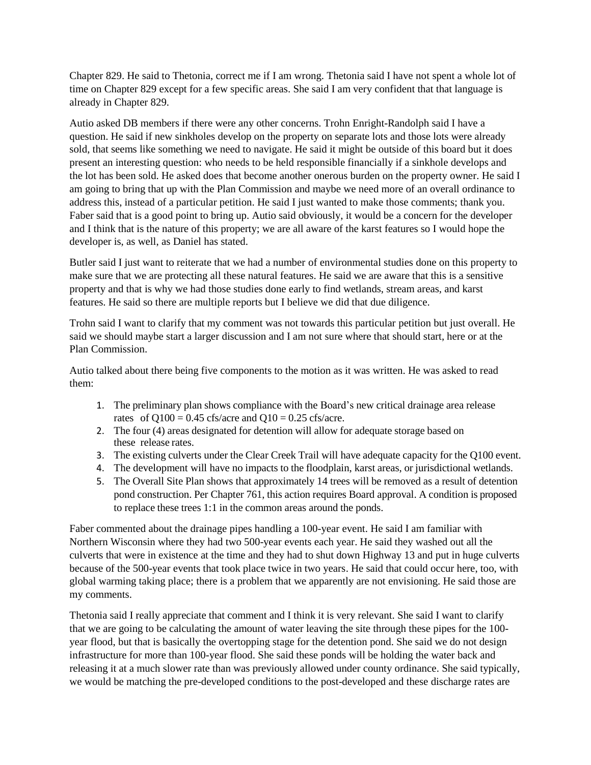Chapter 829. He said to Thetonia, correct me if I am wrong. Thetonia said I have not spent a whole lot of time on Chapter 829 except for a few specific areas. She said I am very confident that that language is already in Chapter 829.

Autio asked DB members if there were any other concerns. Trohn Enright-Randolph said I have a question. He said if new sinkholes develop on the property on separate lots and those lots were already sold, that seems like something we need to navigate. He said it might be outside of this board but it does present an interesting question: who needs to be held responsible financially if a sinkhole develops and the lot has been sold. He asked does that become another onerous burden on the property owner. He said I am going to bring that up with the Plan Commission and maybe we need more of an overall ordinance to address this, instead of a particular petition. He said I just wanted to make those comments; thank you. Faber said that is a good point to bring up. Autio said obviously, it would be a concern for the developer and I think that is the nature of this property; we are all aware of the karst features so I would hope the developer is, as well, as Daniel has stated.

Butler said I just want to reiterate that we had a number of environmental studies done on this property to make sure that we are protecting all these natural features. He said we are aware that this is a sensitive property and that is why we had those studies done early to find wetlands, stream areas, and karst features. He said so there are multiple reports but I believe we did that due diligence.

Trohn said I want to clarify that my comment was not towards this particular petition but just overall. He said we should maybe start a larger discussion and I am not sure where that should start, here or at the Plan Commission.

Autio talked about there being five components to the motion as it was written. He was asked to read them:

- 1. The preliminary plan shows compliance with the Board's new critical drainage area release rates of  $Q100 = 0.45$  cfs/acre and  $Q10 = 0.25$  cfs/acre.
- 2. The four (4) areas designated for detention will allow for adequate storage based on these release rates.
- 3. The existing culverts under the Clear Creek Trail will have adequate capacity for the Q100 event.
- 4. The development will have no impacts to the floodplain, karst areas, or jurisdictional wetlands.
- 5. The Overall Site Plan shows that approximately 14 trees will be removed as a result of detention pond construction. Per Chapter 761, this action requires Board approval. A condition is proposed to replace these trees 1:1 in the common areas around the ponds.

Faber commented about the drainage pipes handling a 100-year event. He said I am familiar with Northern Wisconsin where they had two 500-year events each year. He said they washed out all the culverts that were in existence at the time and they had to shut down Highway 13 and put in huge culverts because of the 500-year events that took place twice in two years. He said that could occur here, too, with global warming taking place; there is a problem that we apparently are not envisioning. He said those are my comments.

Thetonia said I really appreciate that comment and I think it is very relevant. She said I want to clarify that we are going to be calculating the amount of water leaving the site through these pipes for the 100 year flood, but that is basically the overtopping stage for the detention pond. She said we do not design infrastructure for more than 100-year flood. She said these ponds will be holding the water back and releasing it at a much slower rate than was previously allowed under county ordinance. She said typically, we would be matching the pre-developed conditions to the post-developed and these discharge rates are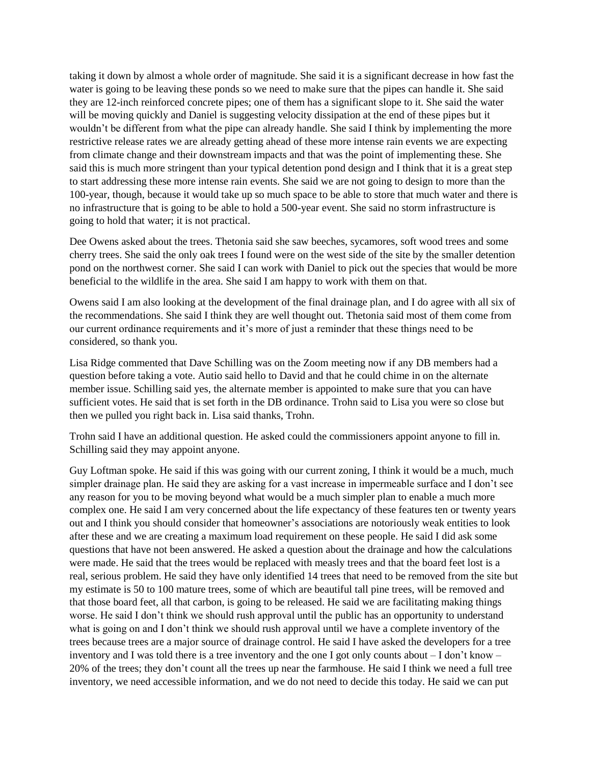taking it down by almost a whole order of magnitude. She said it is a significant decrease in how fast the water is going to be leaving these ponds so we need to make sure that the pipes can handle it. She said they are 12-inch reinforced concrete pipes; one of them has a significant slope to it. She said the water will be moving quickly and Daniel is suggesting velocity dissipation at the end of these pipes but it wouldn't be different from what the pipe can already handle. She said I think by implementing the more restrictive release rates we are already getting ahead of these more intense rain events we are expecting from climate change and their downstream impacts and that was the point of implementing these. She said this is much more stringent than your typical detention pond design and I think that it is a great step to start addressing these more intense rain events. She said we are not going to design to more than the 100-year, though, because it would take up so much space to be able to store that much water and there is no infrastructure that is going to be able to hold a 500-year event. She said no storm infrastructure is going to hold that water; it is not practical.

Dee Owens asked about the trees. Thetonia said she saw beeches, sycamores, soft wood trees and some cherry trees. She said the only oak trees I found were on the west side of the site by the smaller detention pond on the northwest corner. She said I can work with Daniel to pick out the species that would be more beneficial to the wildlife in the area. She said I am happy to work with them on that.

Owens said I am also looking at the development of the final drainage plan, and I do agree with all six of the recommendations. She said I think they are well thought out. Thetonia said most of them come from our current ordinance requirements and it's more of just a reminder that these things need to be considered, so thank you.

Lisa Ridge commented that Dave Schilling was on the Zoom meeting now if any DB members had a question before taking a vote. Autio said hello to David and that he could chime in on the alternate member issue. Schilling said yes, the alternate member is appointed to make sure that you can have sufficient votes. He said that is set forth in the DB ordinance. Trohn said to Lisa you were so close but then we pulled you right back in. Lisa said thanks, Trohn.

Trohn said I have an additional question. He asked could the commissioners appoint anyone to fill in. Schilling said they may appoint anyone.

Guy Loftman spoke. He said if this was going with our current zoning, I think it would be a much, much simpler drainage plan. He said they are asking for a vast increase in impermeable surface and I don't see any reason for you to be moving beyond what would be a much simpler plan to enable a much more complex one. He said I am very concerned about the life expectancy of these features ten or twenty years out and I think you should consider that homeowner's associations are notoriously weak entities to look after these and we are creating a maximum load requirement on these people. He said I did ask some questions that have not been answered. He asked a question about the drainage and how the calculations were made. He said that the trees would be replaced with measly trees and that the board feet lost is a real, serious problem. He said they have only identified 14 trees that need to be removed from the site but my estimate is 50 to 100 mature trees, some of which are beautiful tall pine trees, will be removed and that those board feet, all that carbon, is going to be released. He said we are facilitating making things worse. He said I don't think we should rush approval until the public has an opportunity to understand what is going on and I don't think we should rush approval until we have a complete inventory of the trees because trees are a major source of drainage control. He said I have asked the developers for a tree inventory and I was told there is a tree inventory and the one I got only counts about – I don't know – 20% of the trees; they don't count all the trees up near the farmhouse. He said I think we need a full tree inventory, we need accessible information, and we do not need to decide this today. He said we can put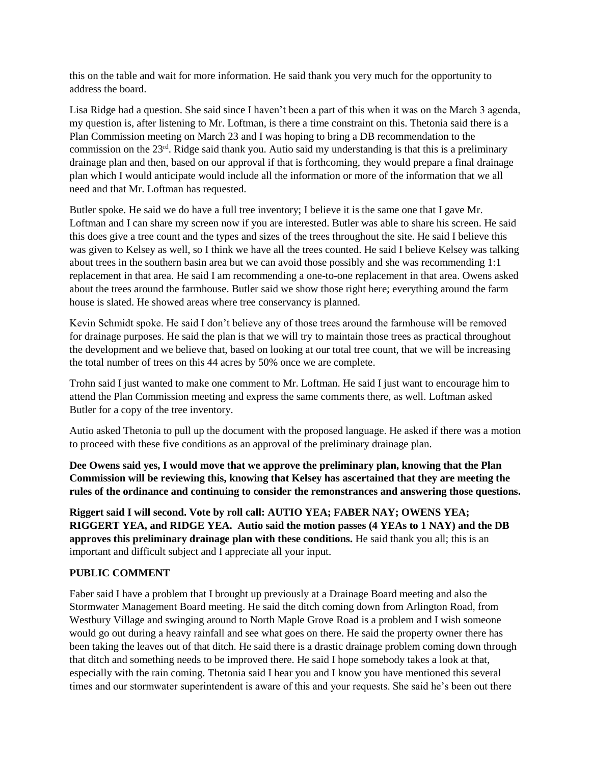this on the table and wait for more information. He said thank you very much for the opportunity to address the board.

Lisa Ridge had a question. She said since I haven't been a part of this when it was on the March 3 agenda, my question is, after listening to Mr. Loftman, is there a time constraint on this. Thetonia said there is a Plan Commission meeting on March 23 and I was hoping to bring a DB recommendation to the commission on the 23rd. Ridge said thank you. Autio said my understanding is that this is a preliminary drainage plan and then, based on our approval if that is forthcoming, they would prepare a final drainage plan which I would anticipate would include all the information or more of the information that we all need and that Mr. Loftman has requested.

Butler spoke. He said we do have a full tree inventory; I believe it is the same one that I gave Mr. Loftman and I can share my screen now if you are interested. Butler was able to share his screen. He said this does give a tree count and the types and sizes of the trees throughout the site. He said I believe this was given to Kelsey as well, so I think we have all the trees counted. He said I believe Kelsey was talking about trees in the southern basin area but we can avoid those possibly and she was recommending 1:1 replacement in that area. He said I am recommending a one-to-one replacement in that area. Owens asked about the trees around the farmhouse. Butler said we show those right here; everything around the farm house is slated. He showed areas where tree conservancy is planned.

Kevin Schmidt spoke. He said I don't believe any of those trees around the farmhouse will be removed for drainage purposes. He said the plan is that we will try to maintain those trees as practical throughout the development and we believe that, based on looking at our total tree count, that we will be increasing the total number of trees on this 44 acres by 50% once we are complete.

Trohn said I just wanted to make one comment to Mr. Loftman. He said I just want to encourage him to attend the Plan Commission meeting and express the same comments there, as well. Loftman asked Butler for a copy of the tree inventory.

Autio asked Thetonia to pull up the document with the proposed language. He asked if there was a motion to proceed with these five conditions as an approval of the preliminary drainage plan.

**Dee Owens said yes, I would move that we approve the preliminary plan, knowing that the Plan Commission will be reviewing this, knowing that Kelsey has ascertained that they are meeting the rules of the ordinance and continuing to consider the remonstrances and answering those questions.** 

**Riggert said I will second. Vote by roll call: AUTIO YEA; FABER NAY; OWENS YEA; RIGGERT YEA, and RIDGE YEA. Autio said the motion passes (4 YEAs to 1 NAY) and the DB approves this preliminary drainage plan with these conditions.** He said thank you all; this is an important and difficult subject and I appreciate all your input.

## **PUBLIC COMMENT**

Faber said I have a problem that I brought up previously at a Drainage Board meeting and also the Stormwater Management Board meeting. He said the ditch coming down from Arlington Road, from Westbury Village and swinging around to North Maple Grove Road is a problem and I wish someone would go out during a heavy rainfall and see what goes on there. He said the property owner there has been taking the leaves out of that ditch. He said there is a drastic drainage problem coming down through that ditch and something needs to be improved there. He said I hope somebody takes a look at that, especially with the rain coming. Thetonia said I hear you and I know you have mentioned this several times and our stormwater superintendent is aware of this and your requests. She said he's been out there